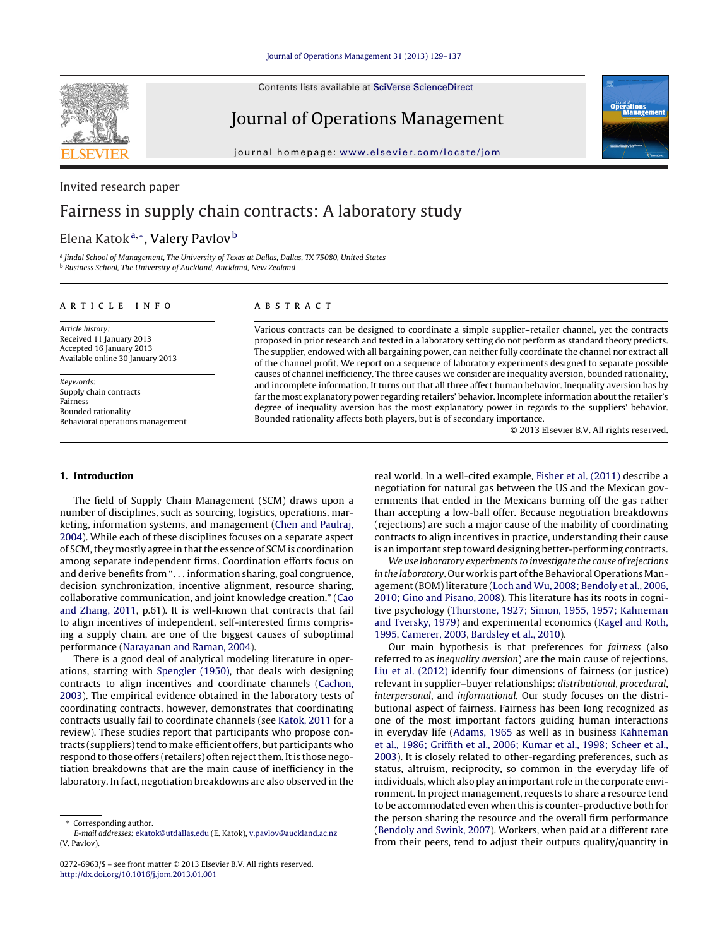Contents lists available at SciVerse [ScienceDirect](http://www.sciencedirect.com/science/journal/02726963)

# **SEVIER**

Journal of Operations Management

iournal homepage: [www.elsevier.com/locate/jom](http://www.elsevier.com/locate/jom)



#### Invited research paper

### Fairness in supply chain contracts: A laboratory study

#### Elena Katok<sup>a,∗</sup>, Valery Pavlov<sup>b</sup>

<sup>a</sup> Jindal School of Management, The University of Texas at Dallas, Dallas, TX 75080, United States **b** Business School, The University of Auckland, Auckland, New Zealand

#### a r t i c l e i n f o

Article history: Received 11 January 2013 Accepted 16 January 2013 Available online 30 January 2013

Keywords: Supply chain contracts Fairness Bounded rationality Behavioral operations management

#### A B S T R A C T

Various contracts can be designed to coordinate a simple supplier–retailer channel, yet the contracts proposed in prior research and tested in a laboratory setting do not perform as standard theory predicts. The supplier, endowed with all bargaining power, can neither fully coordinate the channel nor extract all of the channel profit. We report on a sequence of laboratory experiments designed to separate possible causes of channel inefficiency. The three causes we consider are inequality aversion, bounded rationality, and incomplete information. It turns out that all three affect human behavior. Inequality aversion has by far the most explanatory power regarding retailers' behavior. Incomplete information about the retailer's degree of inequality aversion has the most explanatory power in regards to the suppliers' behavior. Bounded rationality affects both players, but is of secondary importance.

© 2013 Elsevier B.V. All rights reserved.

#### **1. Introduction**

The field of Supply Chain Management (SCM) draws upon a number of disciplines, such as sourcing, logistics, operations, marketing, information systems, and management [\(Chen](#page--1-0) [and](#page--1-0) [Paulraj,](#page--1-0) [2004\).](#page--1-0) While each of these disciplines focuses on a separate aspect of SCM, they mostly agree in that the essence of SCM is coordination among separate independent firms. Coordination efforts focus on and derive benefits from ". . . information sharing, goal congruence, decision synchronization, incentive alignment, resource sharing, collaborative communication, and joint knowledge creation." [\(Cao](#page--1-0) [and](#page--1-0) [Zhang,](#page--1-0) [2011,](#page--1-0) p.61). It is well-known that contracts that fail to align incentives of independent, self-interested firms comprising a supply chain, are one of the biggest causes of suboptimal performance ([Narayanan](#page--1-0) [and](#page--1-0) [Raman,](#page--1-0) [2004\).](#page--1-0)

There is a good deal of analytical modeling literature in operations, starting with [Spengler](#page--1-0) [\(1950\),](#page--1-0) that deals with designing contracts to align incentives and coordinate channels [\(Cachon,](#page--1-0) [2003\).](#page--1-0) The empirical evidence obtained in the laboratory tests of coordinating contracts, however, demonstrates that coordinating contracts usually fail to coordinate channels (see [Katok,](#page--1-0) [2011](#page--1-0) for a review). These studies report that participants who propose contracts (suppliers) tend to make efficient offers, but participants who respond to those offers (retailers) often reject them. It is those negotiation breakdowns that are the main cause of inefficiency in the laboratory. In fact, negotiation breakdowns are also observed in the

real world. In a well-cited example, [Fisher](#page--1-0) et [al.](#page--1-0) [\(2011\)](#page--1-0) describe a negotiation for natural gas between the US and the Mexican governments that ended in the Mexicans burning off the gas rather than accepting a low-ball offer. Because negotiation breakdowns (rejections) are such a major cause of the inability of coordinating contracts to align incentives in practice, understanding their cause is an important step toward designing better-performing contracts.

We use laboratory experiments to investigate the cause of rejections in the laboratory. Our work is part of the Behavioral Operations Management(BOM)literature ([Loch](#page--1-0) [and](#page--1-0) [Wu,](#page--1-0) [2008;](#page--1-0) [Bendoly](#page--1-0) et [al.,](#page--1-0) [2006,](#page--1-0) [2010;](#page--1-0) [Gino](#page--1-0) [and](#page--1-0) [Pisano,](#page--1-0) [2008\).](#page--1-0) This literature has its roots in cognitive psychology ([Thurstone,](#page--1-0) [1927;](#page--1-0) [Simon,](#page--1-0) [1955,](#page--1-0) [1957;](#page--1-0) [Kahneman](#page--1-0) [and](#page--1-0) [Tversky,](#page--1-0) [1979\)](#page--1-0) and experimental economics ([Kagel](#page--1-0) [and](#page--1-0) [Roth,](#page--1-0) [1995,](#page--1-0) [Camerer,](#page--1-0) [2003,](#page--1-0) [Bardsley](#page--1-0) et [al.,](#page--1-0) [2010\).](#page--1-0)

Our main hypothesis is that preferences for fairness (also referred to as inequality aversion) are the main cause of rejections. [Liu](#page--1-0) et [al.](#page--1-0) [\(2012\)](#page--1-0) identify four dimensions of fairness (or justice) relevant in supplier–buyer relationships: distributional, procedural, interpersonal, and informational. Our study focuses on the distributional aspect of fairness. Fairness has been long recognized as one of the most important factors guiding human interactions in everyday life ([Adams,](#page--1-0) [1965](#page--1-0) as well as in business [Kahneman](#page--1-0) et [al.,](#page--1-0) [1986;](#page--1-0) [Griffith](#page--1-0) et [al.,](#page--1-0) [2006;](#page--1-0) [Kumar](#page--1-0) et [al.,](#page--1-0) [1998;](#page--1-0) [Scheer](#page--1-0) et [al.,](#page--1-0) [2003\).](#page--1-0) It is closely related to other-regarding preferences, such as status, altruism, reciprocity, so common in the everyday life of individuals, which also play an important role in the corporate environment. In project management, requests to share a resource tend to be accommodated even when this is counter-productive both for the person sharing the resource and the overall firm performance [\(Bendoly](#page--1-0) [and](#page--1-0) [Swink,](#page--1-0) [2007\).](#page--1-0) Workers, when paid at a different rate from their peers, tend to adjust their outputs quality/quantity in

Corresponding author.

E-mail addresses: [ekatok@utdallas.edu](mailto:ekatok@utdallas.edu) (E. Katok), [v.pavlov@auckland.ac.nz](mailto:v.pavlov@auckland.ac.nz) (V. Pavlov).

<sup>0272-6963/\$</sup> – see front matter © 2013 Elsevier B.V. All rights reserved. [http://dx.doi.org/10.1016/j.jom.2013.01.001](dx.doi.org/10.1016/j.jom.2013.01.001)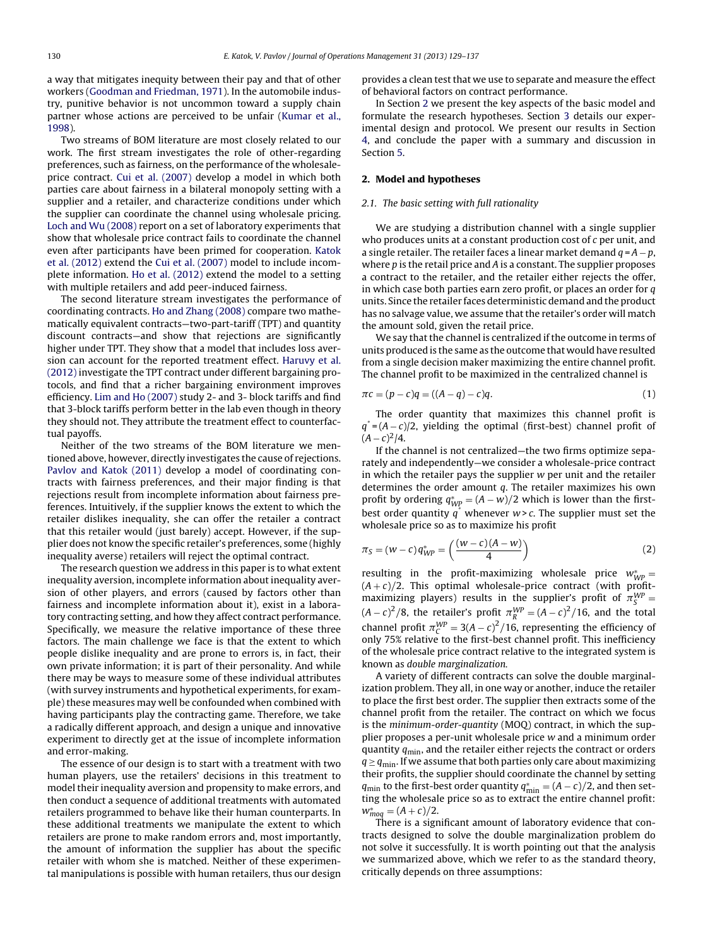a way that mitigates inequity between their pay and that of other workers [\(Goodman](#page--1-0) [and](#page--1-0) [Friedman,](#page--1-0) [1971\).](#page--1-0) In the automobile industry, punitive behavior is not uncommon toward a supply chain partner whose actions are perceived to be unfair ([Kumar](#page--1-0) et [al.,](#page--1-0) [1998\).](#page--1-0)

Two streams of BOM literature are most closely related to our work. The first stream investigates the role of other-regarding preferences, such as fairness, on the performance of the wholesaleprice contract. [Cui](#page--1-0) et [al.](#page--1-0) [\(2007\)](#page--1-0) develop a model in which both parties care about fairness in a bilateral monopoly setting with a supplier and a retailer, and characterize conditions under which the supplier can coordinate the channel using wholesale pricing. [Loch](#page--1-0) [and](#page--1-0) [Wu](#page--1-0) [\(2008\)](#page--1-0) report on a set of laboratory experiments that show that wholesale price contract fails to coordinate the channel even after participants have been primed for cooperation. [Katok](#page--1-0) et [al.](#page--1-0) [\(2012\)](#page--1-0) extend the [Cui](#page--1-0) et [al.](#page--1-0) [\(2007\)](#page--1-0) model to include incomplete information. [Ho](#page--1-0) et [al.](#page--1-0) [\(2012\)](#page--1-0) extend the model to a setting with multiple retailers and add peer-induced fairness.

The second literature stream investigates the performance of coordinating contracts. [Ho](#page--1-0) [and](#page--1-0) [Zhang](#page--1-0) [\(2008\)](#page--1-0) compare two mathematically equivalent contracts—two-part-tariff (TPT) and quantity discount contracts—and show that rejections are significantly higher under TPT. They show that a model that includes loss aversion can account for the reported treatment effect. [Haruvy](#page--1-0) et [al.](#page--1-0) [\(2012\)](#page--1-0) investigate the TPT contract under different bargaining protocols, and find that a richer bargaining environment improves efficiency. [Lim](#page--1-0) [and](#page--1-0) [Ho](#page--1-0) [\(2007\)](#page--1-0) study 2- and 3- block tariffs and find that 3-block tariffs perform better in the lab even though in theory they should not. They attribute the treatment effect to counterfactual payoffs.

Neither of the two streams of the BOM literature we mentioned above, however, directly investigates the cause of rejections. [Pavlov](#page--1-0) [and](#page--1-0) [Katok](#page--1-0) [\(2011\)](#page--1-0) develop a model of coordinating contracts with fairness preferences, and their major finding is that rejections result from incomplete information about fairness preferences. Intuitively, if the supplier knows the extent to which the retailer dislikes inequality, she can offer the retailer a contract that this retailer would (just barely) accept. However, if the supplier does not know the specific retailer's preferences, some (highly inequality averse) retailers will reject the optimal contract.

The research question we address in this paper is to what extent inequality aversion, incomplete information about inequality aversion of other players, and errors (caused by factors other than fairness and incomplete information about it), exist in a laboratory contracting setting, and how they affect contract performance. Specifically, we measure the relative importance of these three factors. The main challenge we face is that the extent to which people dislike inequality and are prone to errors is, in fact, their own private information; it is part of their personality. And while there may be ways to measure some of these individual attributes (with survey instruments and hypothetical experiments, for example) these measures may well be confounded when combined with having participants play the contracting game. Therefore, we take a radically different approach, and design a unique and innovative experiment to directly get at the issue of incomplete information and error-making.

The essence of our design is to start with a treatment with two human players, use the retailers' decisions in this treatment to model their inequality aversion and propensity to make errors, and then conduct a sequence of additional treatments with automated retailers programmed to behave like their human counterparts. In these additional treatments we manipulate the extent to which retailers are prone to make random errors and, most importantly, the amount of information the supplier has about the specific retailer with whom she is matched. Neither of these experimental manipulations is possible with human retailers, thus our design

provides a clean test that we use to separate and measure the effect of behavioral factors on contract performance.

In Section 2 we present the key aspects of the basic model and formulate the research hypotheses. Section [3](#page--1-0) details our experimental design and protocol. We present our results in Section [4,](#page--1-0) and conclude the paper with a summary and discussion in Section [5.](#page--1-0)

#### **2. Model and hypotheses**

#### 2.1. The basic setting with full rationality

We are studying a distribution channel with a single supplier who produces units at a constant production cost of  $c$  per unit, and a single retailer. The retailer faces a linear market demand  $q = A - p$ , where  $p$  is the retail price and  $A$  is a constant. The supplier proposes a contract to the retailer, and the retailer either rejects the offer, in which case both parties earn zero profit, or places an order for  $q$ units. Since the retailer faces deterministic demand and the product has no salvage value, we assume that the retailer's order will match the amount sold, given the retail price.

We say that the channel is centralized if the outcome in terms of units produced is the same as the outcome that would have resulted from a single decision maker maximizing the entire channel profit. The channel profit to be maximized in the centralized channel is

$$
\pi c = (p - c)q = ((A - q) - c)q.
$$
 (1)

The order quantity that maximizes this channel profit is  $q^* = (A - c)/2$ , yielding the optimal (first-best) channel profit of  $(A - c)^2/4$ .

If the channel is not centralized—the two firms optimize separately and independently—we consider a wholesale-price contract in which the retailer pays the supplier  $w$  per unit and the retailer determines the order amount  $q$ . The retailer maximizes his own profit by ordering  $q^*_{WP} = (A - w)/2$  which is lower than the firstbest order quantity  $q^*$  whenever  $w > c$ . The supplier must set the wholesale price so as to maximize his profit

$$
\pi_S = (w - c) q^*_{WP} = \left(\frac{(w - c)(A - w)}{4}\right) \tag{2}
$$

resulting in the profit-maximizing wholesale price  $w^*_{WP} =$  $(A + c)/2$ . This optimal wholesale-price contract (with profitmaximizing players) results in the supplier's profit of  $\pi_S^{WP}$  $(A-c)^2/8$ , the retailer's profit  $\pi_R^{WP} = (A-c)^2/16$ , and the total channel profit  $\pi_C^{WP} = 3(A - c)^2/16$ , representing the efficiency of only 75% relative to the first-best channel profit. This inefficiency of the wholesale price contract relative to the integrated system is known as double marginalization.

A variety of different contracts can solve the double marginalization problem. They all, in one way or another, induce the retailer to place the first best order. The supplier then extracts some of the channel profit from the retailer. The contract on which we focus is the minimum-order-quantity (MOQ) contract, in which the supplier proposes a per-unit wholesale price w and a minimum order quantity  $q_{\min}$ , and the retailer either rejects the contract or orders  $q \geq q_{\text{min}}$ . If we assume that both parties only care about maximizing their profits, the supplier should coordinate the channel by setting  $q_{\min}$  to the first-best order quantity  $q_{\min}^* = (A - c)/2$ , and then setting the wholesale price so as to extract the entire channel profit:  $w_{mod}^* = (A + c)/2.$ 

There is a significant amount of laboratory evidence that contracts designed to solve the double marginalization problem do not solve it successfully. It is worth pointing out that the analysis we summarized above, which we refer to as the standard theory, critically depends on three assumptions: